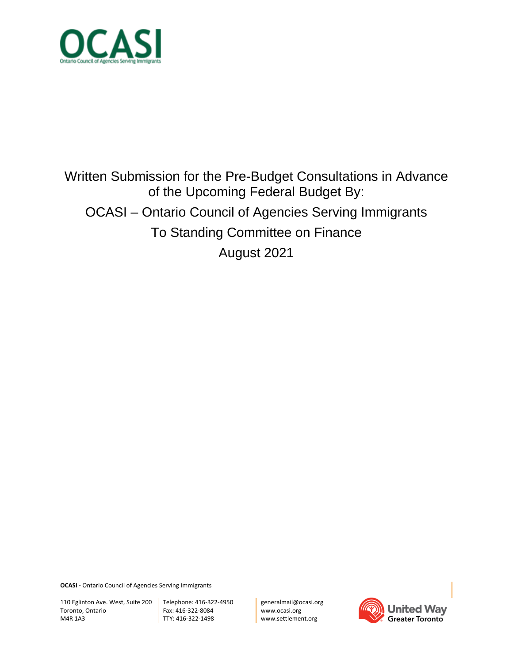

# Written Submission for the Pre-Budget Consultations in Advance of the Upcoming Federal Budget By: OCASI – Ontario Council of Agencies Serving Immigrants To Standing Committee on Finance August 2021

**OCASI -** Ontario Council of Agencies Serving Immigrants

110 Eglinton Ave. West, Suite 200 Toronto, Ontario M4R 1A3

Telephone: 416-322-4950 Fax: 416-322-8084 TTY: 416-322-1498

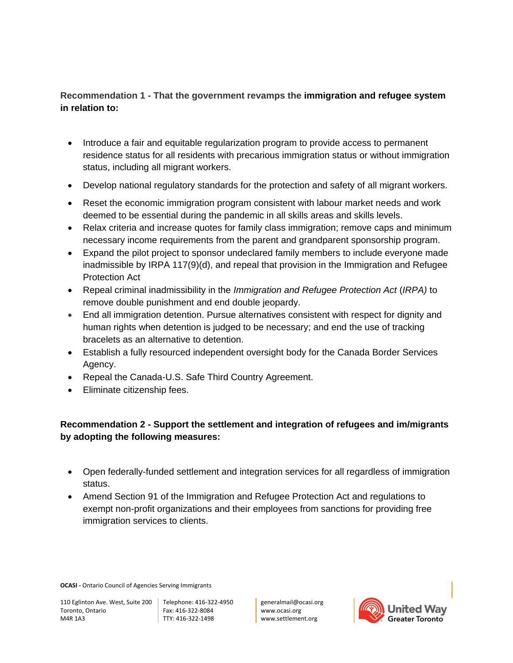### **Recommendation 1 - That the government revamps the immigration and refugee system in relation to:**

- Introduce a fair and equitable regularization program to provide access to permanent residence status for all residents with precarious immigration status or without immigration status, including all migrant workers.
- Develop national regulatory standards for the protection and safety of all migrant workers.
- Reset the economic immigration program consistent with labour market needs and work deemed to be essential during the pandemic in all skills areas and skills levels.
- Relax criteria and increase quotes for family class immigration; remove caps and minimum necessary income requirements from the parent and grandparent sponsorship program.
- Expand the pilot project to sponsor undeclared family members to include everyone made inadmissible by IRPA 117(9)(d), and repeal that provision in the Immigration and Refugee Protection Act
- Repeal criminal inadmissibility in the *Immigration and Refugee Protection Act* (*IRPA)* to remove double punishment and end double jeopardy.
- End all immigration detention. Pursue alternatives consistent with respect for dignity and human rights when detention is judged to be necessary; and end the use of tracking bracelets as an alternative to detention.
- Establish a fully resourced independent oversight body for the Canada Border Services Agency.
- Repeal the Canada-U.S. Safe Third Country Agreement.
- Eliminate citizenship fees.

## **Recommendation 2 - Support the settlement and integration of refugees and im/migrants by adopting the following measures:**

- Open federally-funded settlement and integration services for all regardless of immigration status.
- Amend Section 91 of the Immigration and Refugee Protection Act and regulations to exempt non-profit organizations and their employees from sanctions for providing free immigration services to clients.

**OCASI -** Ontario Council of Agencies Serving Immigrants

110 Eglinton Ave. West, Suite 200 Toronto, Ontario M4R 1A3

Telephone: 416-322-4950 Fax: 416-322-8084 TTY: 416-322-1498

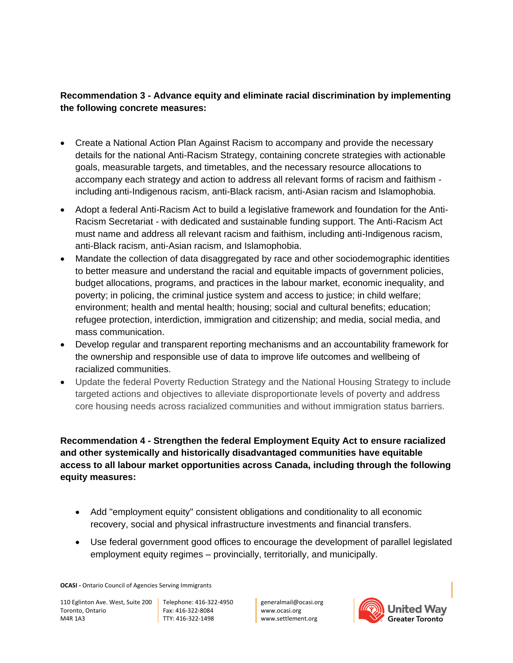### **Recommendation 3 - Advance equity and eliminate racial discrimination by implementing the following concrete measures:**

- Create a National Action Plan Against Racism to accompany and provide the necessary details for the national Anti-Racism Strategy, containing concrete strategies with actionable goals, measurable targets, and timetables, and the necessary resource allocations to accompany each strategy and action to address all relevant forms of racism and faithism including anti-Indigenous racism, anti-Black racism, anti-Asian racism and Islamophobia.
- Adopt a federal Anti-Racism Act to build a legislative framework and foundation for the Anti-Racism Secretariat - with dedicated and sustainable funding support. The Anti-Racism Act must name and address all relevant racism and faithism, including anti-Indigenous racism, anti-Black racism, anti-Asian racism, and Islamophobia.
- Mandate the collection of data disaggregated by race and other sociodemographic identities to better measure and understand the racial and equitable impacts of government policies, budget allocations, programs, and practices in the labour market, economic inequality, and poverty; in policing, the criminal justice system and access to justice; in child welfare; environment; health and mental health; housing; social and cultural benefits; education; refugee protection, interdiction, immigration and citizenship; and media, social media, and mass communication.
- Develop regular and transparent reporting mechanisms and an accountability framework for the ownership and responsible use of data to improve life outcomes and wellbeing of racialized communities.
- Update the federal Poverty Reduction Strategy and the National Housing Strategy to include targeted actions and objectives to alleviate disproportionate levels of poverty and address core housing needs across racialized communities and without immigration status barriers.

**Recommendation 4 - Strengthen the federal Employment Equity Act to ensure racialized and other systemically and historically disadvantaged communities have equitable access to all labour market opportunities across Canada, including through the following equity measures:**

- Add "employment equity" consistent obligations and conditionality to all economic recovery, social and physical infrastructure investments and financial transfers.
- Use federal government good offices to encourage the development of parallel legislated employment equity regimes – provincially, territorially, and municipally.

**OCASI -** Ontario Council of Agencies Serving Immigrants

110 Eglinton Ave. West, Suite 200 Toronto, Ontario M4R 1A3

Telephone: 416-322-4950 Fax: 416-322-8084 TTY: 416-322-1498

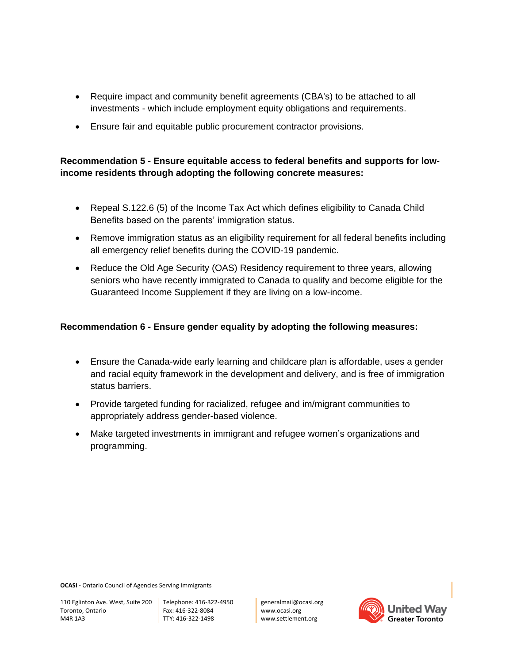- Require impact and community benefit agreements (CBA's) to be attached to all investments - which include employment equity obligations and requirements.
- Ensure fair and equitable public procurement contractor provisions.

### **Recommendation 5 - Ensure equitable access to federal benefits and supports for lowincome residents through adopting the following concrete measures:**

- Repeal S.122.6 (5) of the Income Tax Act which defines eligibility to Canada Child Benefits based on the parents' immigration status.
- Remove immigration status as an eligibility requirement for all federal benefits including all emergency relief benefits during the COVID-19 pandemic.
- Reduce the Old Age Security (OAS) Residency requirement to three years, allowing seniors who have recently immigrated to Canada to qualify and become eligible for the Guaranteed Income Supplement if they are living on a low-income.

#### **Recommendation 6 - Ensure gender equality by adopting the following measures:**

- Ensure the Canada-wide early learning and childcare plan is affordable, uses a gender and racial equity framework in the development and delivery, and is free of immigration status barriers.
- Provide targeted funding for racialized, refugee and im/migrant communities to appropriately address gender-based violence.
- Make targeted investments in immigrant and refugee women's organizations and programming.

**OCASI -** Ontario Council of Agencies Serving Immigrants

110 Eglinton Ave. West, Suite 200 Toronto, Ontario M4R 1A3

Telephone: 416-322-4950 Fax: 416-322-8084 TTY: 416-322-1498

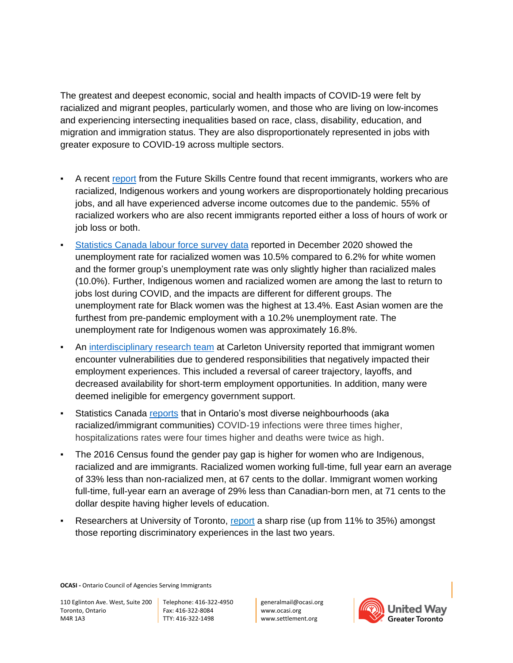The greatest and deepest economic, social and health impacts of COVID-19 were felt by racialized and migrant peoples, particularly women, and those who are living on low-incomes and experiencing intersecting inequalities based on race, class, disability, education, and migration and immigration status. They are also disproportionately represented in jobs with greater exposure to COVID-19 across multiple sectors.

- A recent [report](https://fsc-ccf.ca/wp-content/uploads/2021/05/Widening-Inequality-Report-May2021-EN-1.pdf) from the Future Skills Centre found that recent immigrants, workers who are racialized, Indigenous workers and young workers are disproportionately holding precarious jobs, and all have experienced adverse income outcomes due to the pandemic. 55% of racialized workers who are also recent immigrants reported either a loss of hours of work or job loss or both.
- [Statistics Canada labour force survey data](https://www.reuters.com/world/americas/black-minority-women-canada-left-behind-covid-19-job-recovery-2020-12-15/) reported in December 2020 showed the unemployment rate for racialized women was 10.5% compared to 6.2% for white women and the former group's unemployment rate was only slightly higher than racialized males (10.0%). Further, Indigenous women and racialized women are among the last to return to jobs lost during COVID, and the impacts are different for different groups. The unemployment rate for Black women was the highest at 13.4%. East Asian women are the furthest from pre-pandemic employment with a 10.2% unemployment rate. The unemployment rate for Indigenous women was approximately 16.8%.
- An [interdisciplinary research team](https://www.globalcitizen.org/en/content/immigrant-women-covid-19-economic-impact-canada/?template=next) at Carleton University reported that immigrant women encounter vulnerabilities due to gendered responsibilities that negatively impacted their employment experiences. This included a reversal of career trajectory, layoffs, and decreased availability for short-term employment opportunities. In addition, many were deemed ineligible for emergency government support.
- Statistics Canada [reports](https://www150.statcan.gc.ca/n1/pub/11-631-x/2020004/s6-eng.htm) that in Ontario's most diverse neighbourhoods (aka racialized/immigrant communities) COVID-19 infections were three times higher, hospitalizations rates were four times higher and deaths were twice as high.
- The 2016 Census found the gender pay gap is higher for women who are Indigenous, racialized and are immigrants. Racialized women working full-time, full year earn an average of 33% less than non-racialized men, at 67 cents to the dollar. Immigrant women working full-time, full-year earn an average of 29% less than Canadian-born men, at 71 cents to the dollar despite having higher levels of education.
- Researchers at University of Toronto, [report](https://www.utoronto.ca/news/anti-asian-discrimination-rise-canada-u-t-researchers-find) a sharp rise (up from 11% to 35%) amongst those reporting discriminatory experiences in the last two years.

**OCASI -** Ontario Council of Agencies Serving Immigrants

110 Eglinton Ave. West, Suite 200 Toronto, Ontario M4R 1A3

Telephone: 416-322-4950 Fax: 416-322-8084 TTY: 416-322-1498

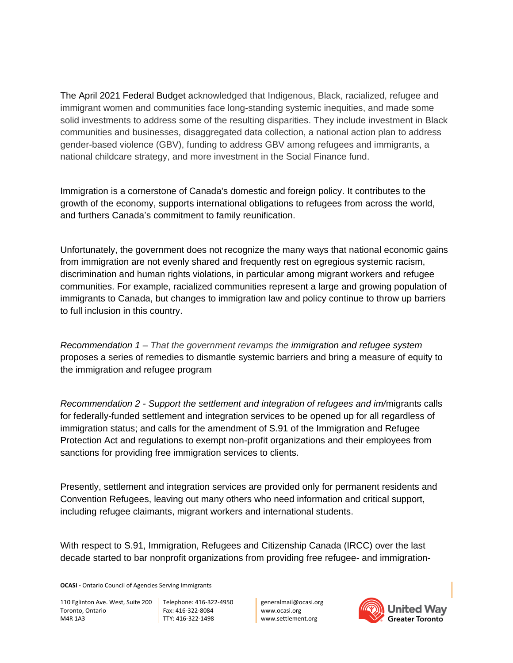The April 2021 Federal Budget acknowledged that Indigenous, Black, racialized, refugee and immigrant women and communities face long-standing systemic inequities, and made some solid investments to address some of the resulting disparities. They include investment in Black communities and businesses, disaggregated data collection, a national action plan to address gender-based violence (GBV), funding to address GBV among refugees and immigrants, a national childcare strategy, and more investment in the Social Finance fund.

Immigration is a cornerstone of Canada's domestic and foreign policy. It contributes to the growth of the economy, supports international obligations to refugees from across the world, and furthers Canada's commitment to family reunification.

Unfortunately, the government does not recognize the many ways that national economic gains from immigration are not evenly shared and frequently rest on egregious systemic racism, discrimination and human rights violations, in particular among migrant workers and refugee communities. For example, racialized communities represent a large and growing population of immigrants to Canada, but changes to immigration law and policy continue to throw up barriers to full inclusion in this country.

*Recommendation 1 – That the government revamps the immigration and refugee system* proposes a series of remedies to dismantle systemic barriers and bring a measure of equity to the immigration and refugee program

*Recommendation 2 - Support the settlement and integration of refugees and im/*migrants calls for federally-funded settlement and integration services to be opened up for all regardless of immigration status; and calls for the amendment of S.91 of the Immigration and Refugee Protection Act and regulations to exempt non-profit organizations and their employees from sanctions for providing free immigration services to clients.

Presently, settlement and integration services are provided only for permanent residents and Convention Refugees, leaving out many others who need information and critical support, including refugee claimants, migrant workers and international students.

With respect to S.91, Immigration, Refugees and Citizenship Canada (IRCC) over the last decade started to bar nonprofit organizations from providing free refugee- and immigration-

**OCASI -** Ontario Council of Agencies Serving Immigrants

110 Eglinton Ave. West, Suite 200 Toronto, Ontario M4R 1A3

Telephone: 416-322-4950 Fax: 416-322-8084 TTY: 416-322-1498